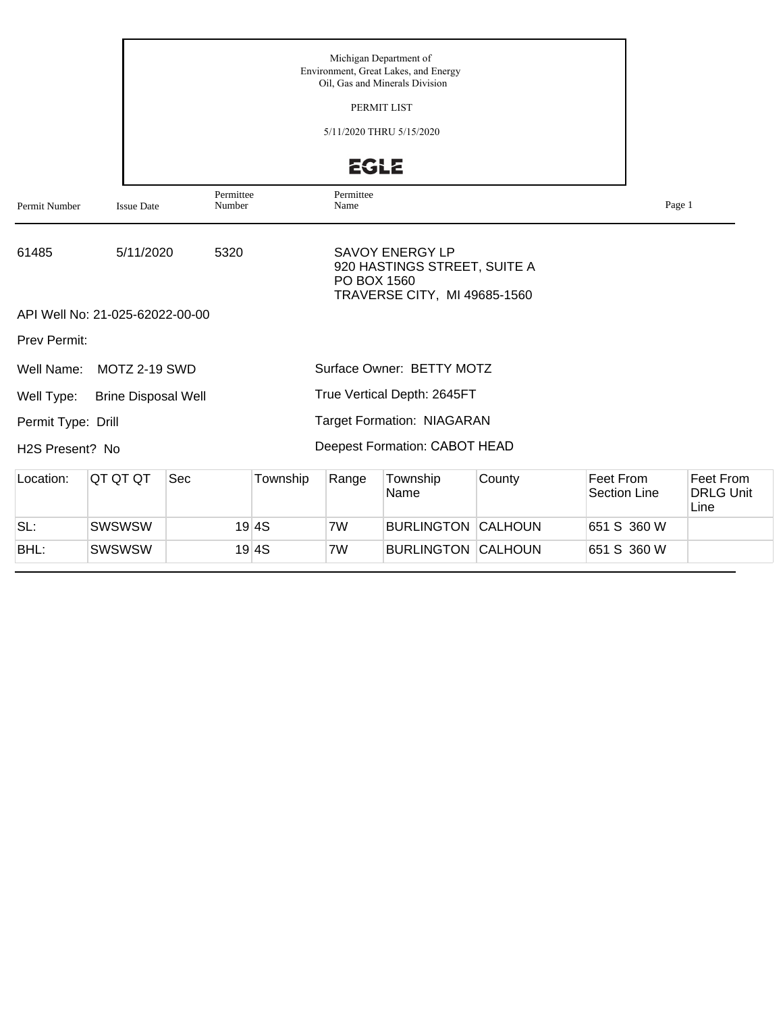| Permit Number       | <b>Issue Date</b>               | Permittee<br>Number |                                  | Page 1 |                                       |                |  |             |  |
|---------------------|---------------------------------|---------------------|----------------------------------|--------|---------------------------------------|----------------|--|-------------|--|
| 61485               | 5/11/2020                       |                     |                                  |        |                                       |                |  |             |  |
|                     | API Well No: 21-025-62022-00-00 |                     |                                  |        | TRAVERSE CITY, MI 49685-1560          |                |  |             |  |
| <b>Prev Permit:</b> |                                 |                     |                                  |        |                                       |                |  |             |  |
| Well Name:          | MOTZ 2-19 SWD                   |                     |                                  |        | Surface Owner: BETTY MOTZ             |                |  |             |  |
| Well Type:          | <b>Brine Disposal Well</b>      |                     |                                  |        | True Vertical Depth: 2645FT           |                |  |             |  |
| Permit Type: Drill  |                                 |                     |                                  |        | <b>Target Formation: NIAGARAN</b>     |                |  |             |  |
| H2S Present? No     |                                 |                     |                                  |        | Deepest Formation: CABOT HEAD         |                |  |             |  |
| Location:           | QT QT QT                        | Sec                 | Feet From<br><b>Section Line</b> |        | Feet From<br><b>DRLG Unit</b><br>Line |                |  |             |  |
| SL:                 | <b>SWSWSW</b>                   |                     | 19 4S                            | 7W     | <b>BURLINGTON</b>                     | <b>CALHOUN</b> |  | 651 S 360 W |  |
| BHL:                | <b>SWSWSW</b>                   |                     | 651 S 360 W                      |        |                                       |                |  |             |  |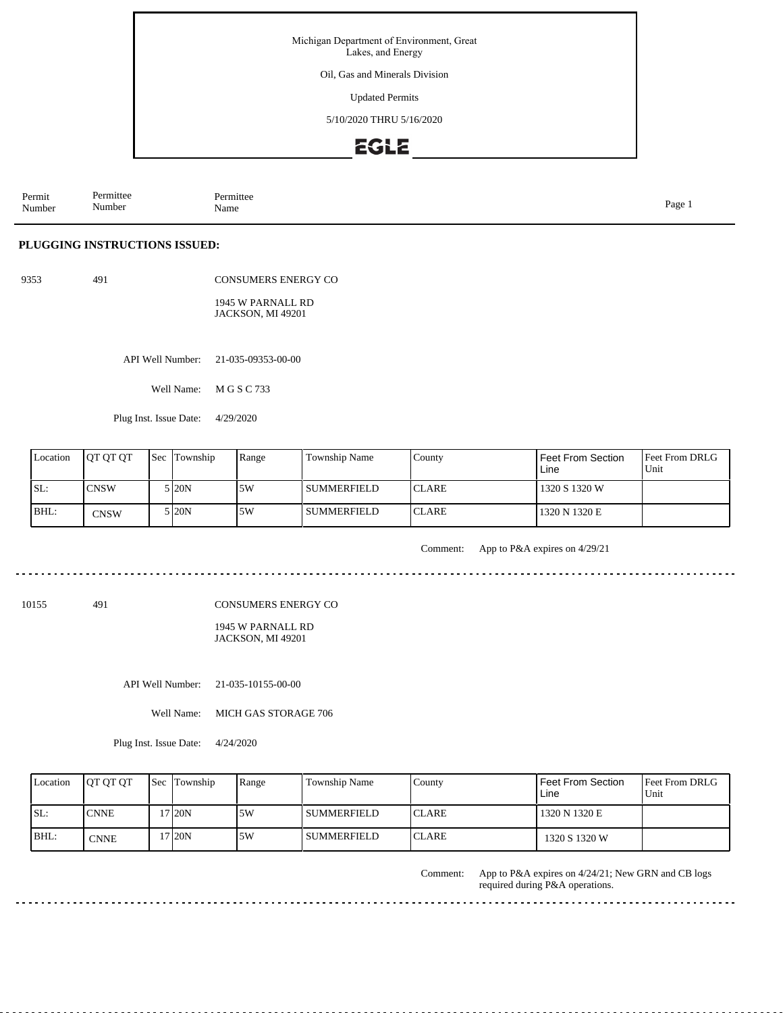Oil, Gas and Minerals Division

Updated Permits

5/10/2020 THRU 5/16/2020

### **EGLE**

Permit Number Permittee Number Permittee<br>Name Name Page 1

#### **PLUGGING INSTRUCTIONS ISSUED:**

9353 491

CONSUMERS ENERGY CO 1945 W PARNALL RD JACKSON, MI 49201

API Well Number: 21-035-09353-00-00

Well Name: M G S C 733

Plug Inst. Issue Date: 4/29/2020

| Location | <b>OT OT OT</b> | Sec Township | Range | Township Name      | County        | Feet From Section<br>Line | <b>Feet From DRLG</b><br>Unit |
|----------|-----------------|--------------|-------|--------------------|---------------|---------------------------|-------------------------------|
| ISL:     | ICNSW           | 5 I20N       | 15W   | I SUMMERFIELD      | <b>ICLARE</b> | 1320 S 1320 W             |                               |
| BHL:     | <b>CNSW</b>     | 5 I20N       | 5W    | <b>SUMMERFIELD</b> | <b>ICLARE</b> | 1320 N 1320 E             |                               |

Comment: App to P&A expires on 4/29/21

a dia dia dia d

. . . . . .

10155 491

CONSUMERS ENERGY CO

1945 W PARNALL RD JACKSON, MI 49201

API Well Number: 21-035-10155-00-00

Well Name: MICH GAS STORAGE 706

Plug Inst. Issue Date: 4/24/2020

| Location | <b>IOT OT OT</b> | <b>Sec Township</b> | Range | Township Name      | County        | Feet From Section<br>Line | <b>Feet From DRLG</b><br>Unit |
|----------|------------------|---------------------|-------|--------------------|---------------|---------------------------|-------------------------------|
| ISL:     | <b>CNNE</b>      | 7 20N               | 5W    | <b>SUMMERFIELD</b> | <b>ICLARE</b> | 1320 N 1320 E             |                               |
| $IBHL$ : | CNNE             | 7 <sub>120N</sub>   | 5W    | SUMMERFIELD_       | <b>ICLARE</b> | 1320 S 1320 W             |                               |

App to P&A expires on 4/24/21; New GRN and CB logs required during P&A operations. Comment:

<u>. . . . . . . . . . . . .</u>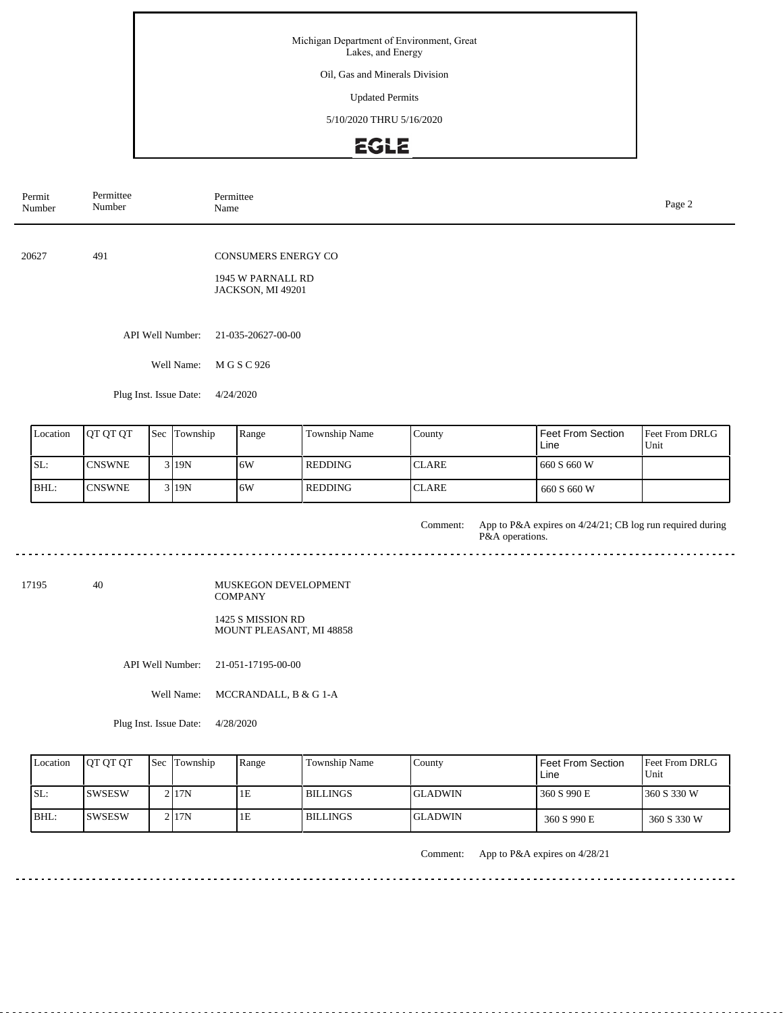Oil, Gas and Minerals Division

Updated Permits

5/10/2020 THRU 5/16/2020

## **EGLE**

| Permit<br>Number                                                                              | Permittee<br>Number                                                         |     | Permittee<br>Name |           |                |              |                                                                              |                        |  |  |  |  |  |  |
|-----------------------------------------------------------------------------------------------|-----------------------------------------------------------------------------|-----|-------------------|-----------|----------------|--------------|------------------------------------------------------------------------------|------------------------|--|--|--|--|--|--|
| 20627                                                                                         | 491<br><b>CONSUMERS ENERGY CO</b><br>1945 W PARNALL RD<br>JACKSON, MI 49201 |     |                   |           |                |              |                                                                              |                        |  |  |  |  |  |  |
| API Well Number:<br>21-035-20627-00-00<br>Well Name:<br>M G S C 926<br>Plug Inst. Issue Date: |                                                                             |     |                   |           |                |              |                                                                              |                        |  |  |  |  |  |  |
|                                                                                               |                                                                             |     |                   | 4/24/2020 |                |              |                                                                              |                        |  |  |  |  |  |  |
| Location                                                                                      | QT QT QT                                                                    | Sec | Township          | Range     | Township Name  | County       | Feet From Section<br>Line                                                    | Feet From DRLG<br>Unit |  |  |  |  |  |  |
| SL:                                                                                           | <b>CNSWNE</b>                                                               |     | 3 19N             | 6W        | <b>REDDING</b> | <b>CLARE</b> | 660 S 660 W                                                                  |                        |  |  |  |  |  |  |
| BHL:                                                                                          | <b>CNSWNE</b>                                                               |     | 3 19N             | 6W        | <b>REDDING</b> | <b>CLARE</b> | 660 S 660 W                                                                  |                        |  |  |  |  |  |  |
|                                                                                               |                                                                             |     |                   |           |                | Comment:     | App to P&A expires on 4/24/21; CB log run required during<br>P&A operations. |                        |  |  |  |  |  |  |
| 17195<br>40<br>MUSKEGON DEVELOPMENT<br><b>COMPANY</b>                                         |                                                                             |     |                   |           |                |              |                                                                              |                        |  |  |  |  |  |  |

1425 S MISSION RD MOUNT PLEASANT, MI 48858

API Well Number: 21-051-17195-00-00

Well Name: MCCRANDALL, B & G 1-A

Plug Inst. Issue Date: 4/28/2020

| Location | <b>OT OT OT</b> | <b>Sec</b> Township | Range | <b>Township Name</b> | County          | <b>Feet From Section</b><br>Line | <b>Feet From DRLG</b><br>Unit |
|----------|-----------------|---------------------|-------|----------------------|-----------------|----------------------------------|-------------------------------|
| ISL:     | ISWSESW         | 2117N               | ĪЕ    | I BILLINGS           | IGLADWIN-       | 360 S 990 E                      | 1360 S 330 W                  |
| BHL:     | <b>ISWSESW</b>  | 2117N               | 1Ε    | <b>BILLINGS</b>      | <b>IGLADWIN</b> | 360 S 990 E                      | 360 S 330 W                   |

 $- - - - - - - -$ 

. . . . . . . . .

Comment: App to P&A expires on 4/28/21

<u>. . . . . . . . . . . . . . . . . . .</u>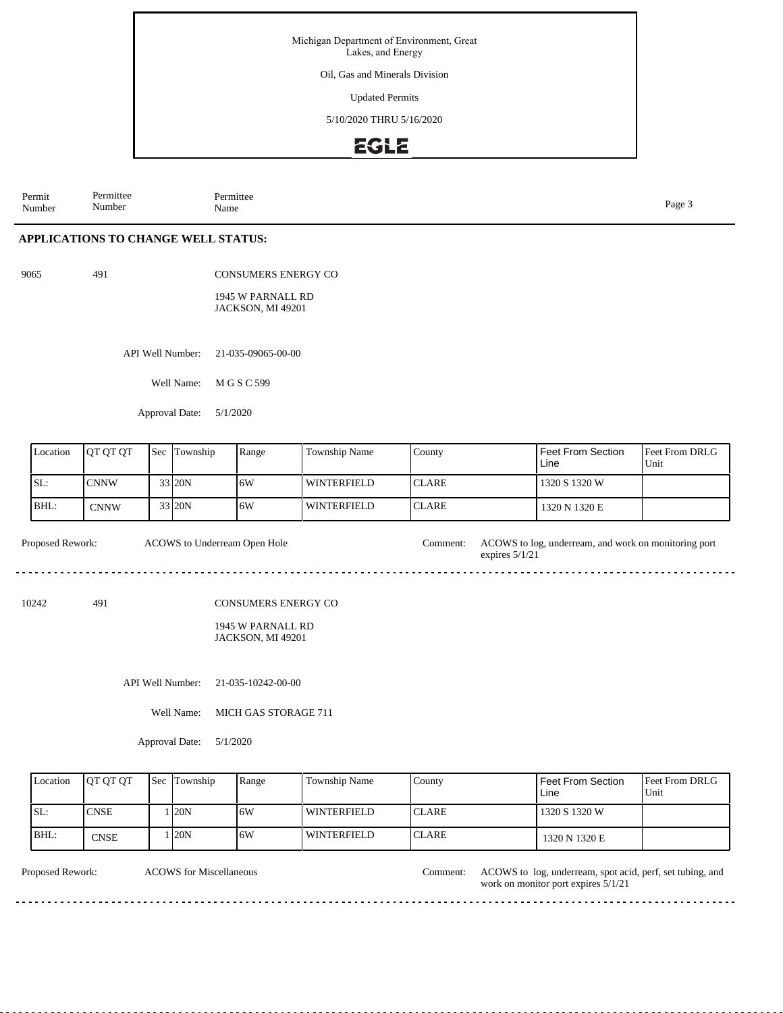Oil, Gas and Minerals Division

Updated Permits

5/10/2020 THRU 5/16/2020

### **EGLE**

Permit Number Permittee Number Permittee<br>Name Page 3<br>Name

#### **APPLICATIONS TO CHANGE WELL STATUS:**

9065 491

CONSUMERS ENERGY CO

1945 W PARNALL RD JACKSON, MI 49201

API Well Number: 21-035-09065-00-00

Well Name: M G S C 599

Approval Date: 5/1/2020

| Location | <b>JOT OT OT</b> | <b>Sec Township</b> | Range | <b>Township Name</b> | County        | l Feet From Section<br>Line | <b>Feet From DRLG</b><br>Unit |
|----------|------------------|---------------------|-------|----------------------|---------------|-----------------------------|-------------------------------|
| ISL:     | <b>CNNW</b>      | 33 20N              | 16W   | <b>WINTERFIELD</b>   | <b>ICLARE</b> | 1320 S 1320 W               |                               |
| BHL:     | <b>CNNW</b>      | 33 20N              | 16W   | <b>WINTERFIELD</b>   | <b>ICLARE</b> | 1320 N 1320 E               |                               |

Proposed Rework: ACOWS to log, underream, and work on monitoring port expires 5/1/21 ACOWS to Underream Open Hole

10242 491

CONSUMERS ENERGY CO

#### 1945 W PARNALL RD JACKSON, MI 49201

API Well Number: 21-035-10242-00-00

Well Name: MICH GAS STORAGE 711

Approval Date: 5/1/2020

| Location | <b>IOT OT OT</b> | <b>Sec Township</b> | Range | Township Name | County        | l Feet From Section<br>Line | <b>IFeet From DRLG</b><br>Unit |
|----------|------------------|---------------------|-------|---------------|---------------|-----------------------------|--------------------------------|
| SL:      | <b>CNSE</b>      | 120N                | 16W   | l winterfield | <b>ICLARE</b> | 1320 S 1320 W               |                                |
| BHL:     | <b>CNSE</b>      | 120 <sub>N</sub>    | ا 6W  | l winterfield | <b>ICLARE</b> | 1320 N 1320 E               |                                |

ACOWS for Miscellaneous

Proposed Rework: ACOWS to log, underream, spot acid, perf, set tubing, and work on monitor port expires 5/1/21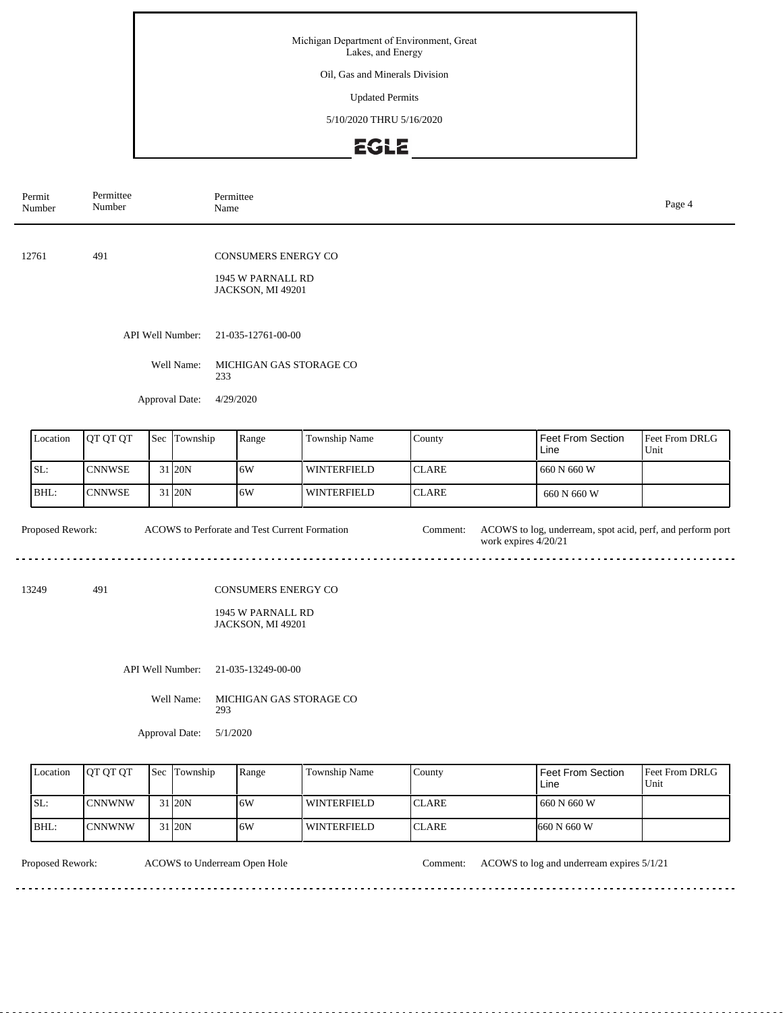Oil, Gas and Minerals Division

Updated Permits

5/10/2020 THRU 5/16/2020

# EGLE

| Permit<br>Number | Permittee<br>Number                    | Permittee<br>Name |                  |                                |                                                                      |                    |              |                      |                                                            |                        |  |  |
|------------------|----------------------------------------|-------------------|------------------|--------------------------------|----------------------------------------------------------------------|--------------------|--------------|----------------------|------------------------------------------------------------|------------------------|--|--|
| 12761            | 491                                    |                   |                  |                                | <b>CONSUMERS ENERGY CO</b><br>1945 W PARNALL RD<br>JACKSON, MI 49201 |                    |              |                      |                                                            |                        |  |  |
|                  | API Well Number:<br>21-035-12761-00-00 |                   |                  |                                |                                                                      |                    |              |                      |                                                            |                        |  |  |
|                  |                                        |                   | Well Name:       | 233                            | MICHIGAN GAS STORAGE CO                                              |                    |              |                      |                                                            |                        |  |  |
|                  |                                        |                   | Approval Date:   |                                | 4/29/2020                                                            |                    |              |                      |                                                            |                        |  |  |
| Location         | QT QT QT<br>Sec Township               |                   |                  |                                | Range                                                                | Township Name      | County       |                      | <b>Feet From Section</b><br>Line                           | Feet From DRLG<br>Unit |  |  |
| SL:              | <b>CNNWSE</b>                          |                   | 31 20N           |                                | 6W                                                                   | <b>WINTERFIELD</b> | <b>CLARE</b> |                      | 660 N 660 W                                                |                        |  |  |
| BHL:             | <b>CNNWSE</b>                          |                   | 31 20N           |                                | 6W                                                                   | <b>WINTERFIELD</b> | <b>CLARE</b> |                      | 660 N 660 W                                                |                        |  |  |
| Proposed Rework: |                                        |                   |                  |                                | ACOWS to Perforate and Test Current Formation                        |                    | Comment:     | work expires 4/20/21 | ACOWS to log, underream, spot acid, perf, and perform port |                        |  |  |
| 13249            | 491                                    |                   |                  |                                | CONSUMERS ENERGY CO                                                  |                    |              |                      |                                                            |                        |  |  |
|                  |                                        |                   |                  |                                | 1945 W PARNALL RD<br>JACKSON, MI 49201                               |                    |              |                      |                                                            |                        |  |  |
|                  |                                        |                   | API Well Number: |                                | 21-035-13249-00-00                                                   |                    |              |                      |                                                            |                        |  |  |
|                  |                                        |                   | Well Name:       | MICHIGAN GAS STORAGE CO<br>293 |                                                                      |                    |              |                      |                                                            |                        |  |  |

Approval Date: 5/1/2020

| Location | <b>IOT OT OT</b> | <b>Sec</b> | Township | Range | Township Name      | County        | Feet From Section<br>Line | <b>Feet From DRLG</b><br>Unit |
|----------|------------------|------------|----------|-------|--------------------|---------------|---------------------------|-------------------------------|
| SL:      | ICNNWNW          |            | 31 20N   | 6W    | WINTERFIELD        | ICLARE.       | 660 N 660 W               |                               |
| BHL:     | lCNNWNW          |            | 31 20N   | 16W   | <b>WINTERFIELD</b> | <b>ICLARE</b> | $1660$ N 660 W            |                               |

Proposed Rework: ACOWS to Underream Open Hole Comment: ACOWS to log and underream expires 5/1/21

 $\frac{1}{2} \left( \frac{1}{2} \right) \left( \frac{1}{2} \right) \left( \frac{1}{2} \right) \left( \frac{1}{2} \right) \left( \frac{1}{2} \right)$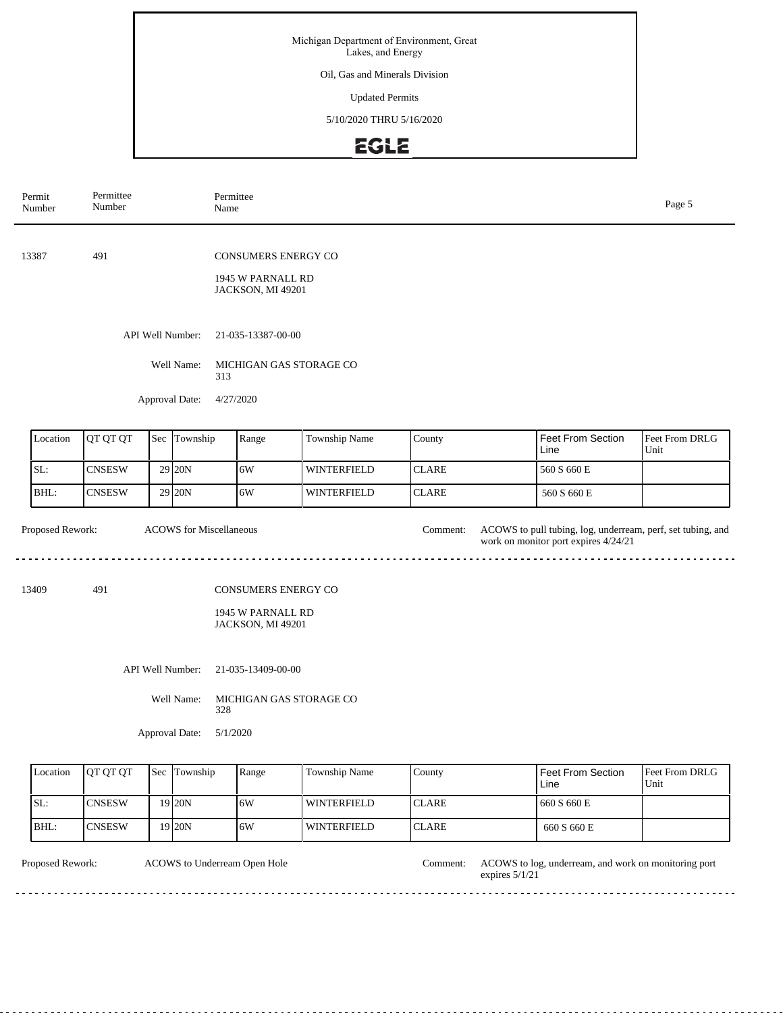Oil, Gas and Minerals Division

Updated Permits

5/10/2020 THRU 5/16/2020

## EGLE

| Permit<br>Number | Permittee<br>Number                              |  |                                                  | Permittee<br>Page 5<br>Name                                   |                                                                      |                    |  |                  |  |                                                                                                     |                               |
|------------------|--------------------------------------------------|--|--------------------------------------------------|---------------------------------------------------------------|----------------------------------------------------------------------|--------------------|--|------------------|--|-----------------------------------------------------------------------------------------------------|-------------------------------|
| 13387            | 491                                              |  |                                                  |                                                               | <b>CONSUMERS ENERGY CO</b><br>1945 W PARNALL RD<br>JACKSON, MI 49201 |                    |  |                  |  |                                                                                                     |                               |
|                  |                                                  |  | API Well Number:<br>Well Name:<br>Approval Date: | 313<br>4/27/2020                                              | 21-035-13387-00-00<br>MICHIGAN GAS STORAGE CO                        |                    |  |                  |  |                                                                                                     |                               |
| Location         | QT QT QT                                         |  | Sec Township                                     |                                                               | Range                                                                | Township Name      |  | County           |  | Feet From Section<br>Line                                                                           | Feet From DRLG<br>Unit        |
| SL:              | <b>CNSESW</b>                                    |  | 29 20N                                           | 6W                                                            |                                                                      | <b>WINTERFIELD</b> |  | <b>CLARE</b>     |  | 560 S 660 E                                                                                         |                               |
| BHL:             | 29 20N<br><b>CNSESW</b>                          |  |                                                  |                                                               | 6W                                                                   | <b>WINTERFIELD</b> |  | <b>CLARE</b>     |  | 560 S 660 E                                                                                         |                               |
| Proposed Rework: |                                                  |  | <b>ACOWS</b> for Miscellaneous                   |                                                               |                                                                      |                    |  | Comment:         |  | ACOWS to pull tubing, log, underream, perf, set tubing, and<br>work on monitor port expires 4/24/21 |                               |
| 13409            | 491                                              |  |                                                  | CONSUMERS ENERGY CO<br>1945 W PARNALL RD<br>JACKSON, MI 49201 |                                                                      |                    |  |                  |  |                                                                                                     |                               |
|                  |                                                  |  | API Well Number:                                 | 21-035-13409-00-00                                            |                                                                      |                    |  |                  |  |                                                                                                     |                               |
|                  |                                                  |  | Well Name:                                       | 328                                                           | MICHIGAN GAS STORAGE CO                                              |                    |  |                  |  |                                                                                                     |                               |
|                  |                                                  |  | Approval Date:                                   |                                                               | 5/1/2020                                                             |                    |  |                  |  |                                                                                                     |                               |
|                  | $\Gamma_{\text{coation}}$ $\Gamma_{\text{OTOT}}$ |  | $\epsilon_{\alpha\alpha}$ Township               |                                                               | $b_{\text{on}}$                                                      | Township Name      |  | $C_{\text{out}}$ |  | Foot From Soction                                                                                   | $E_{\text{out}}$ Erom DDI $C$ |

| Location | <b>IOT OT OT</b> | <b>Sec Township</b> | Range | Township Name      | County        | Feet From Section<br>Line | <b>Feet From DRLG</b><br>Unit |
|----------|------------------|---------------------|-------|--------------------|---------------|---------------------------|-------------------------------|
| SL:      | ICNSESW          | 9 <sub>20N</sub>    | 6W    | WINTERFIELD        | <b>ICLARE</b> | 660 S 660 E               |                               |
| BHL      | <b>ICNSESW</b>   | 9120N               | .6W   | <b>WINTERFIELD</b> | <b>ICLARE</b> | 660 S 660 E               |                               |

ACOWS to Underream Open Hole Comment: Proposed Rework: ACOWS to Underream Open Hole Comment: ACOWS to log, underream, and work on monitoring port expires 5/1/21  $\sim$   $\sim$   $\sim$ <u>. . . . . . .</u>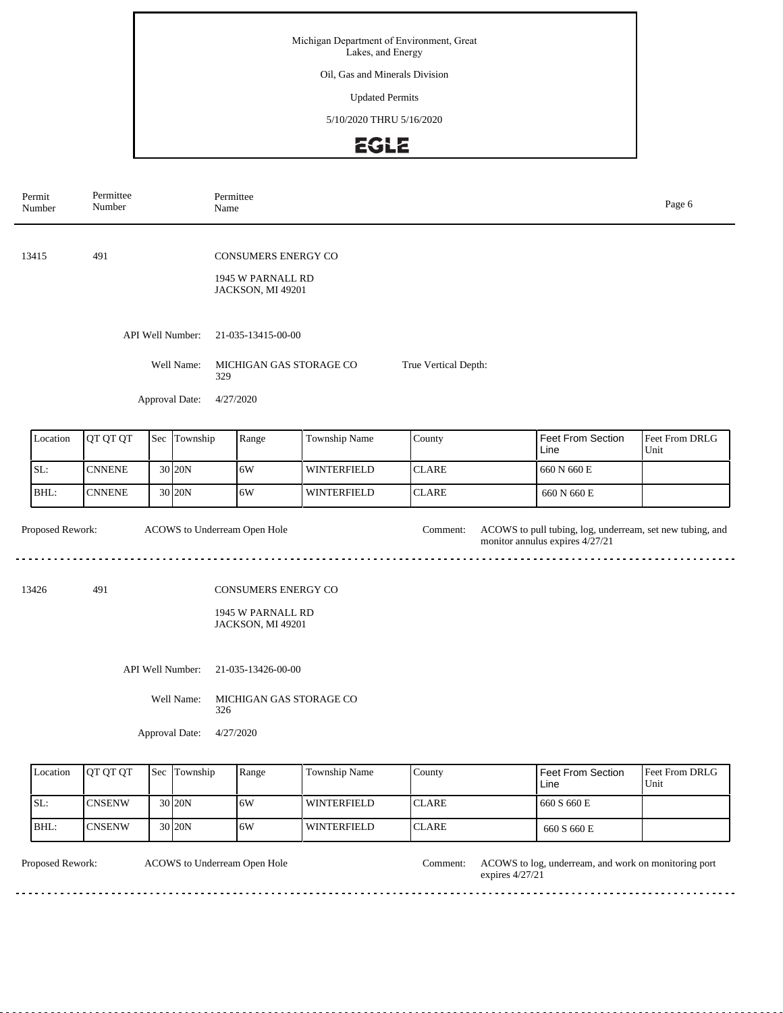### Oil, Gas and Minerals Division

Updated Permits

5/10/2020 THRU 5/16/2020

# EGLE

| Permit<br>Number | Permittee<br>Number     |  |                  | Permittee<br>Name  |                                                                      |                      |                                     |  |                                                                                              | Page 6                 |
|------------------|-------------------------|--|------------------|--------------------|----------------------------------------------------------------------|----------------------|-------------------------------------|--|----------------------------------------------------------------------------------------------|------------------------|
| 13415            | 491                     |  |                  |                    | <b>CONSUMERS ENERGY CO</b><br>1945 W PARNALL RD<br>JACKSON, MI 49201 |                      |                                     |  |                                                                                              |                        |
|                  |                         |  | API Well Number: |                    | 21-035-13415-00-00                                                   |                      |                                     |  |                                                                                              |                        |
|                  |                         |  | Well Name:       | 329                | MICHIGAN GAS STORAGE CO                                              |                      | True Vertical Depth:                |  |                                                                                              |                        |
|                  |                         |  | Approval Date:   | 4/27/2020          |                                                                      |                      |                                     |  |                                                                                              |                        |
| Location         | QT QT QT                |  | Sec Township     |                    | Range                                                                | Township Name        | Feet From Section<br>County<br>Line |  |                                                                                              | Feet From DRLG<br>Unit |
| SL:              | 30 20N<br><b>CNNENE</b> |  |                  |                    | 6W                                                                   | <b>WINTERFIELD</b>   | <b>CLARE</b>                        |  | 660 N 660 E                                                                                  |                        |
| BHL:             | 30 20N<br><b>CNNENE</b> |  |                  |                    | 6W                                                                   | <b>WINTERFIELD</b>   | <b>CLARE</b>                        |  | 660 N 660 E                                                                                  |                        |
| Proposed Rework: |                         |  |                  |                    | ACOWS to Underream Open Hole                                         |                      | Comment:                            |  | ACOWS to pull tubing, log, underream, set new tubing, and<br>monitor annulus expires 4/27/21 |                        |
| 13426            | 491                     |  |                  |                    | CONSUMERS ENERGY CO<br>1945 W PARNALL RD<br>JACKSON, MI 49201        |                      |                                     |  |                                                                                              |                        |
|                  | API Well Number:        |  |                  | 21-035-13426-00-00 |                                                                      |                      |                                     |  |                                                                                              |                        |
| Well Name:       |                         |  |                  | 326                | MICHIGAN GAS STORAGE CO                                              |                      |                                     |  |                                                                                              |                        |
|                  |                         |  | Approval Date:   | 4/27/2020          |                                                                      |                      |                                     |  |                                                                                              |                        |
| Location         | QT QT QT                |  | Sec Township     |                    | Range                                                                | <b>Township Name</b> | County                              |  | Feet From Section                                                                            | Feet From DRLG         |

| Location | <b>OT OT OT</b> | <b>Sec Township</b> | Range | <b>Township Name</b> | Countv        | Feet From Section<br>Line | <b>Feet From DRLG</b><br>Unit |
|----------|-----------------|---------------------|-------|----------------------|---------------|---------------------------|-------------------------------|
| SL:      | <b>ICNSENW</b>  | 30 <sub>20N</sub>   | 6W    | <b>WINTERFIELD</b>   | <b>ICLARE</b> | 660 S 660 E               |                               |
| BHL:     | <b>ICNSENW</b>  | 30 <sub>20N</sub>   | 6W    | WINTERFIELD          | <b>ICLARE</b> | 660 S 660 E               |                               |

| <b>Proposed Rework:</b> | ACOWS to Underream Open Hole | `omment: | ACOWS to log, underream, and work on monitoring port<br>expires $4/27/21$ |
|-------------------------|------------------------------|----------|---------------------------------------------------------------------------|
|                         |                              |          |                                                                           |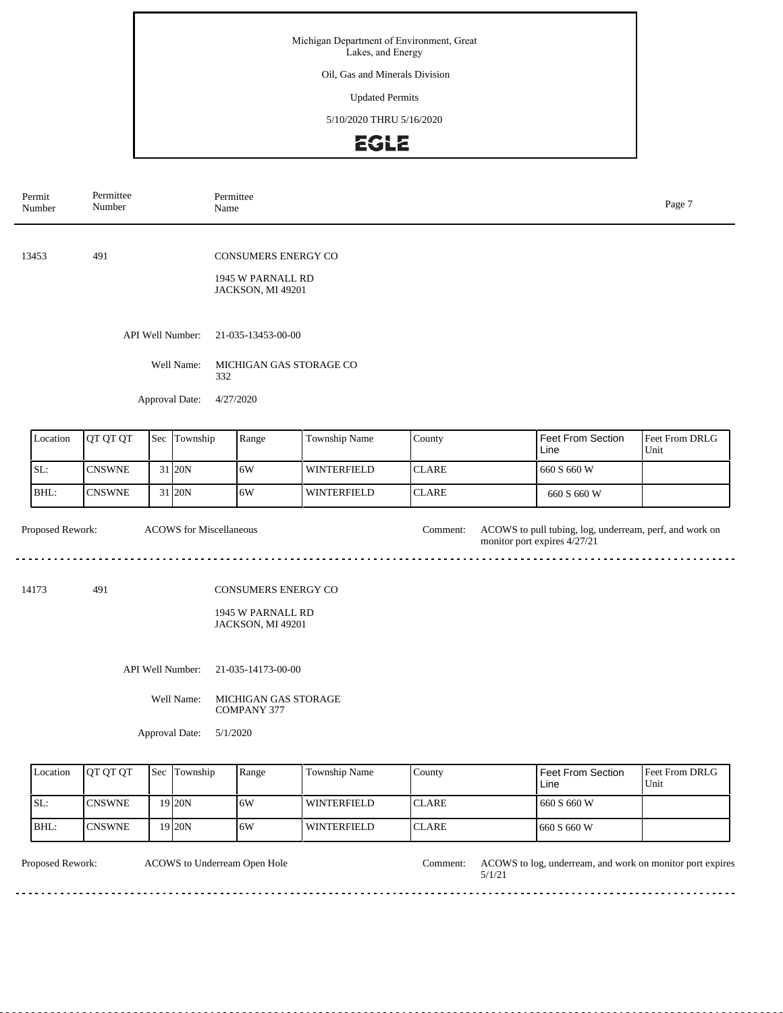#### Oil, Gas and Minerals Division

Updated Permits

5/10/2020 THRU 5/16/2020

# EGLE

| Permit<br>Number | Permittee<br>Number |  |                                | Permittee<br>Name                                                    |               |              |                                                                                         | Page 7                 |  |
|------------------|---------------------|--|--------------------------------|----------------------------------------------------------------------|---------------|--------------|-----------------------------------------------------------------------------------------|------------------------|--|
| 13453            | 491                 |  |                                | <b>CONSUMERS ENERGY CO</b><br>1945 W PARNALL RD<br>JACKSON, MI 49201 |               |              |                                                                                         |                        |  |
|                  |                     |  | API Well Number:               | 21-035-13453-00-00                                                   |               |              |                                                                                         |                        |  |
| Well Name:       |                     |  |                                | MICHIGAN GAS STORAGE CO<br>332                                       |               |              |                                                                                         |                        |  |
|                  |                     |  | Approval Date:                 | 4/27/2020                                                            |               |              |                                                                                         |                        |  |
| Location         | QT QT QT            |  | Sec Township                   | Range                                                                | Township Name | County       | <b>Feet From Section</b><br>Line                                                        | Feet From DRLG<br>Unit |  |
| SL:              | <b>CNSWNE</b>       |  | 31 20N                         | 6W                                                                   | WINTERFIELD   | <b>CLARE</b> | 660 S 660 W                                                                             |                        |  |
| BHL:             | <b>CNSWNE</b>       |  | 31 20N                         | 6W                                                                   | WINTERFIELD   | <b>CLARE</b> | 660 S 660 W                                                                             |                        |  |
| Proposed Rework: |                     |  | <b>ACOWS</b> for Miscellaneous |                                                                      |               | Comment:     | ACOWS to pull tubing, log, underream, perf, and work on<br>monitor port expires 4/27/21 |                        |  |
| 14173            | 491                 |  |                                | CONSUMERS ENERGY CO<br>1945 W PARNALL RD<br>JACKSON, MI 49201        |               |              |                                                                                         |                        |  |
|                  |                     |  | API Well Number:               | 21-035-14173-00-00                                                   |               |              |                                                                                         |                        |  |
|                  |                     |  | Well Name:                     | MICHIGAN GAS STORAGE<br><b>COMPANY 377</b>                           |               |              |                                                                                         |                        |  |
|                  |                     |  | Approval Date:                 | 5/1/2020                                                             |               |              |                                                                                         |                        |  |
| Location         | QT QT QT            |  | Sec Township                   | Range                                                                | Township Name | County       | <b>Feet From Section</b>                                                                | Feet From DRLG         |  |

|      | Location | <b>OT OT OT</b> | <b>Sec</b> Township | Range | Township Name      | County        | l Feet From Section<br>Line | <b>Feet From DRLG</b><br>Unit |
|------|----------|-----------------|---------------------|-------|--------------------|---------------|-----------------------------|-------------------------------|
| ISL: |          | <b>ICNSWNE</b>  | 19 <sub>120</sub> N | 6W    | <b>WINTERFIELD</b> | <b>ICLARE</b> | 660 S 660 W                 |                               |
| BHL: |          | <b>ICNSWNE</b>  | 19 20N              | 6W    | <b>WINTERFIELD</b> | <b>ICLARE</b> | 1660 S 660 W                |                               |

ACOWS to Underream Open Hole Comment:

Proposed Rework: ACOWS to Underream Open Hole Comment: ACOWS to log, underream, and work on monitor port expires 5/1/21

. . . . . . . . . . . . .

<u>. . . . . .</u>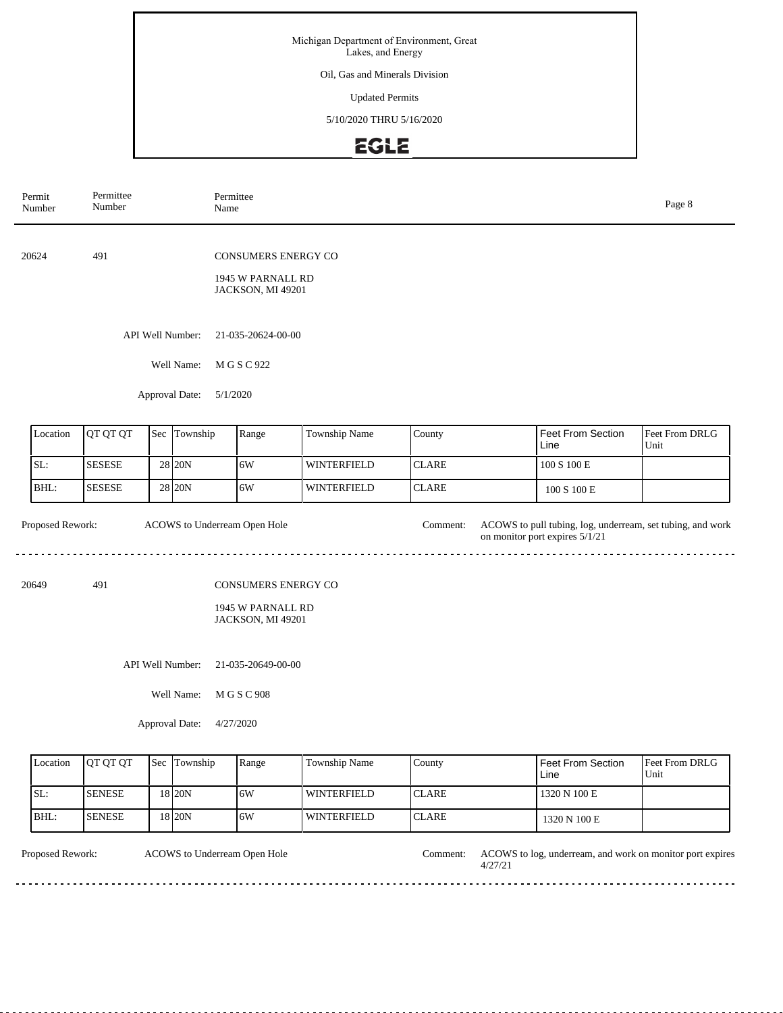Oil, Gas and Minerals Division

Updated Permits

5/10/2020 THRU 5/16/2020

## EGLE

| Permit<br>Number            | Permittee<br>Permittee<br>Number<br>Name                                    |  |                  |          |                                                               |                    |              |                                                                                              | Page 8                 |
|-----------------------------|-----------------------------------------------------------------------------|--|------------------|----------|---------------------------------------------------------------|--------------------|--------------|----------------------------------------------------------------------------------------------|------------------------|
| 20624                       | 491<br><b>CONSUMERS ENERGY CO</b><br>1945 W PARNALL RD<br>JACKSON, MI 49201 |  |                  |          |                                                               |                    |              |                                                                                              |                        |
|                             | API Well Number:<br>21-035-20624-00-00                                      |  |                  |          |                                                               |                    |              |                                                                                              |                        |
|                             |                                                                             |  | Well Name:       |          | M G S C 922                                                   |                    |              |                                                                                              |                        |
|                             |                                                                             |  | Approval Date:   | 5/1/2020 |                                                               |                    |              |                                                                                              |                        |
| Location                    | QT QT QT                                                                    |  | Sec Township     |          | Range                                                         | Township Name      | County       | Feet From Section<br>Line                                                                    | Feet From DRLG<br>Unit |
| SL:                         | <b>SESESE</b>                                                               |  | 28 20N           |          | 6W                                                            | <b>WINTERFIELD</b> | <b>CLARE</b> | 100 S 100 E                                                                                  |                        |
| BHL:                        | <b>SESESE</b>                                                               |  | 28 20N           |          | 6W                                                            | <b>WINTERFIELD</b> | <b>CLARE</b> | $100$ S $100$ E                                                                              |                        |
| Proposed Rework:            |                                                                             |  |                  |          | ACOWS to Underream Open Hole                                  |                    | Comment:     | ACOWS to pull tubing, log, underream, set tubing, and work<br>on monitor port expires 5/1/21 |                        |
| 20649                       | 491                                                                         |  |                  |          | CONSUMERS ENERGY CO<br>1945 W PARNALL RD<br>JACKSON, MI 49201 |                    |              |                                                                                              |                        |
|                             |                                                                             |  | API Well Number: |          | 21-035-20649-00-00                                            |                    |              |                                                                                              |                        |
| Well Name:<br>M G S C 908   |                                                                             |  |                  |          |                                                               |                    |              |                                                                                              |                        |
| Approval Date:<br>4/27/2020 |                                                                             |  |                  |          |                                                               |                    |              |                                                                                              |                        |

| Location | <b>IOT OT OT</b> | <b>Sec</b> Township | Range | Township Name      | County        | <b>Feet From Section</b><br>Line | <b>Feet From DRLG</b><br>Unit |
|----------|------------------|---------------------|-------|--------------------|---------------|----------------------------------|-------------------------------|
| SL:      | <b>ISENESE</b>   | 18 <sub>20N</sub>   | 16W   | <b>WINTERFIELD</b> | <b>ICLARE</b> | 1320 N 100 E                     |                               |
| BHL:     | <b>ISENESE</b>   | '8 20N              | 16W   | <b>WINTERFIELD</b> | <b>ICLARE</b> | 1320 N 100 E                     |                               |

<u>. . . . . . . . . .</u>

ACOWS to Underream Open Hole

Proposed Rework: ACOWS to Underream Open Hole Comment: ACOWS to log, underream, and work on monitor port expires 4/27/21

 $- - - - - -$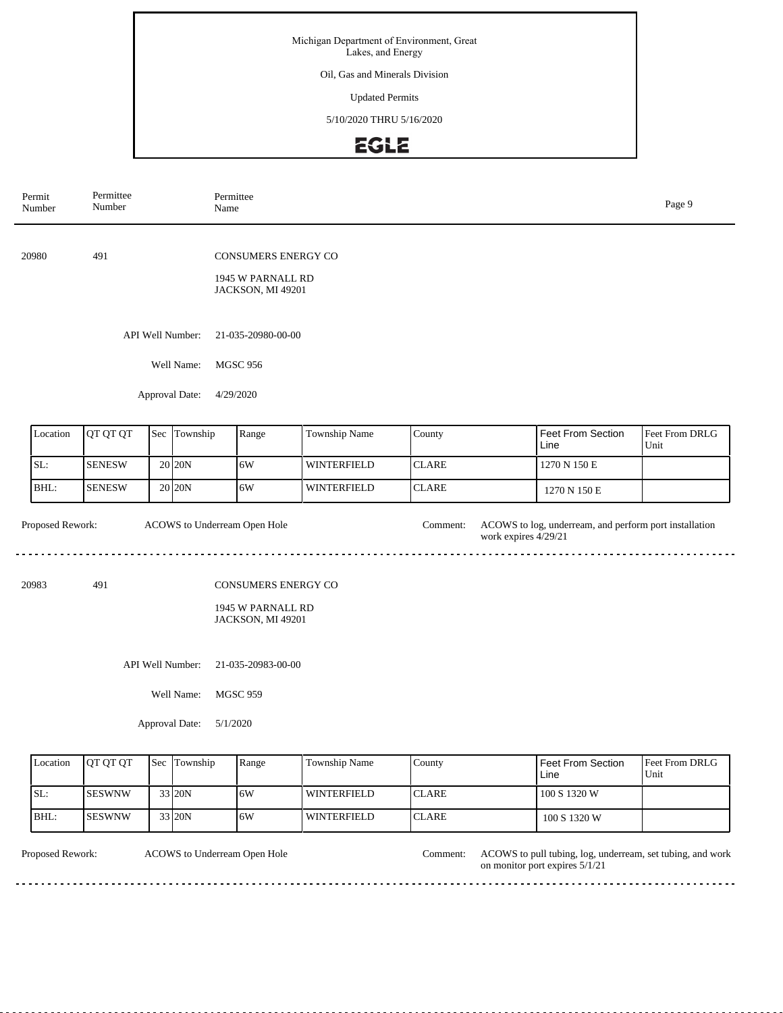#### Oil, Gas and Minerals Division

Updated Permits

### 5/10/2020 THRU 5/16/2020

# EGLE

| Permit<br>Number | Permittee<br>Number | Permittee<br>Name                                |                                                               |                    |                                  |                                                        | Page 9                 |
|------------------|---------------------|--------------------------------------------------|---------------------------------------------------------------|--------------------|----------------------------------|--------------------------------------------------------|------------------------|
| 20980            | 491                 |                                                  | CONSUMERS ENERGY CO<br>1945 W PARNALL RD<br>JACKSON, MI 49201 |                    |                                  |                                                        |                        |
|                  |                     | API Well Number:<br>Well Name:<br>Approval Date: | 21-035-20980-00-00<br><b>MGSC 956</b><br>4/29/2020            |                    |                                  |                                                        |                        |
| Location         | QT QT QT            | Sec Township                                     | Range                                                         | Township Name      | County                           | <b>Feet From Section</b><br>Line                       | Feet From DRLG<br>Unit |
| SL:              | <b>SENESW</b>       | 20 20N                                           | 6W                                                            | WINTERFIELD        | <b>CLARE</b>                     | 1270 N 150 E                                           |                        |
| BHL:             | <b>SENESW</b>       | 20 20 N                                          | 6W                                                            | WINTERFIELD        | <b>CLARE</b>                     | 1270 N 150 E                                           |                        |
| Proposed Rework: |                     | ACOWS to Underream Open Hole                     |                                                               |                    | Comment:<br>work expires 4/29/21 | ACOWS to log, underream, and perform port installation |                        |
| 20983            | 491                 |                                                  | CONSUMERS ENERGY CO<br>1945 W PARNALL RD<br>JACKSON, MI 49201 |                    |                                  |                                                        |                        |
|                  |                     | API Well Number:                                 | 21-035-20983-00-00                                            |                    |                                  |                                                        |                        |
|                  |                     | Well Name:<br>Approval Date:<br>5/1/2020         | <b>MGSC 959</b>                                               |                    |                                  |                                                        |                        |
| Location         | QT QT QT            | Sec Township                                     | Range                                                         | Township Name      | County                           | Feet From Section<br>Line                              | Feet From DRLG<br>Unit |
| SL:              | <b>SESWNW</b>       | 33 20N                                           | 6W                                                            | <b>WINTERFIELD</b> | <b>CLARE</b>                     | 100 S 1320 W                                           |                        |
| BHL:             | <b>SESWNW</b>       | 33 20N                                           | 6W                                                            | WINTERFIELD        | <b>CLARE</b>                     | 100 S 1320 W                                           |                        |

ACOWS to Underream Open Hole Comment:

Proposed Rework: ACOWS to Underream Open Hole Comment: ACOWS to pull tubing, log, underream, set tubing, and work on monitor port expires 5/1/21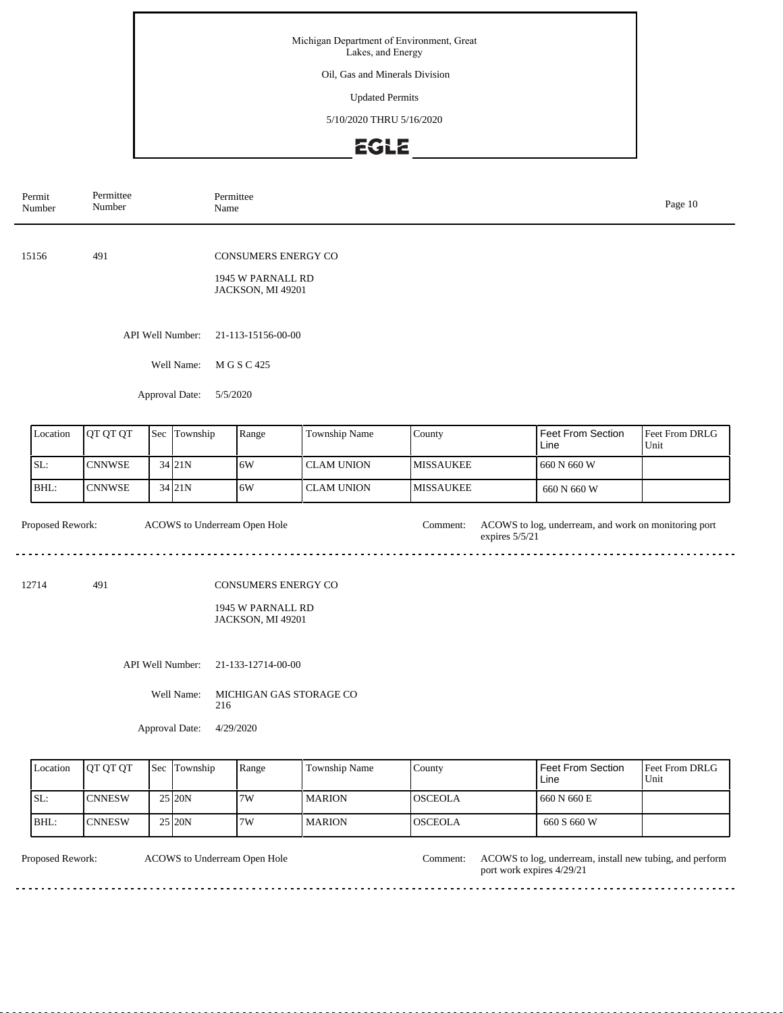#### Oil, Gas and Minerals Division

Updated Permits

5/10/2020 THRU 5/16/2020

## EGLE

|                                                                                                   | Permit<br>Number                                                                                                                         | Permittee<br>Number                                                         |     | Name     | Permittee |                   |                  |                           |                        |  |  |  |
|---------------------------------------------------------------------------------------------------|------------------------------------------------------------------------------------------------------------------------------------------|-----------------------------------------------------------------------------|-----|----------|-----------|-------------------|------------------|---------------------------|------------------------|--|--|--|
|                                                                                                   | 15156                                                                                                                                    | 491<br><b>CONSUMERS ENERGY CO</b><br>1945 W PARNALL RD<br>JACKSON, MI 49201 |     |          |           |                   |                  |                           |                        |  |  |  |
| API Well Number:<br>21-113-15156-00-00<br>Well Name:<br>M G S C 425<br>Approval Date:<br>5/5/2020 |                                                                                                                                          |                                                                             |     |          |           |                   |                  |                           |                        |  |  |  |
|                                                                                                   |                                                                                                                                          |                                                                             |     |          |           |                   |                  |                           |                        |  |  |  |
|                                                                                                   | Location                                                                                                                                 | QT QT QT                                                                    | Sec | Township | Range     | Township Name     | County           | Feet From Section<br>Line | Feet From DRLG<br>Unit |  |  |  |
|                                                                                                   | SL:                                                                                                                                      | <b>CNNWSE</b>                                                               |     | 34 21N   | 6W        | <b>CLAM UNION</b> | <b>MISSAUKEE</b> | 660 N 660 W               |                        |  |  |  |
|                                                                                                   | BHL:                                                                                                                                     | <b>CNNWSE</b>                                                               |     | 34 21N   | 6W        | <b>CLAM UNION</b> | <b>MISSAUKEE</b> | 660 N 660 W               |                        |  |  |  |
|                                                                                                   | ACOWS to Underream Open Hole<br>Proposed Rework:<br>ACOWS to log, underream, and work on monitoring port<br>Comment:<br>expires $5/5/21$ |                                                                             |     |          |           |                   |                  |                           |                        |  |  |  |
| 491<br>CONSUMERS ENERGY CO<br>12714<br>1945 W PARNALL RD<br>JACKSON, MI 49201                     |                                                                                                                                          |                                                                             |     |          |           |                   |                  |                           |                        |  |  |  |

API Well Number: 21-133-12714-00-00

Well Name: MICHIGAN GAS STORAGE CO 216

Approval Date: 4/29/2020

| Location | <b>OT OT OT</b> | <b>Sec Township</b> | Range | <b>Township Name</b> | County         | l Feet From Section<br>Line | <b>IFeet From DRLG</b><br>Unit |
|----------|-----------------|---------------------|-------|----------------------|----------------|-----------------------------|--------------------------------|
| ISL:     | <b>CNNESW</b>   | 25 20N              | 7W    | <b>MARION</b>        | IOSCEOLA       | 1660 N 660 E                |                                |
| BHL:     | ICNNESW         | 25 20N              | 7W    | <b>MARION</b>        | <b>OSCEOLA</b> | 660 S 660 W                 |                                |

ACOWS to Underream Open Hole

Proposed Rework: ACOWS to Underream Open Hole Comment: ACOWS to log, underream, install new tubing, and perform port work expires 4/29/21